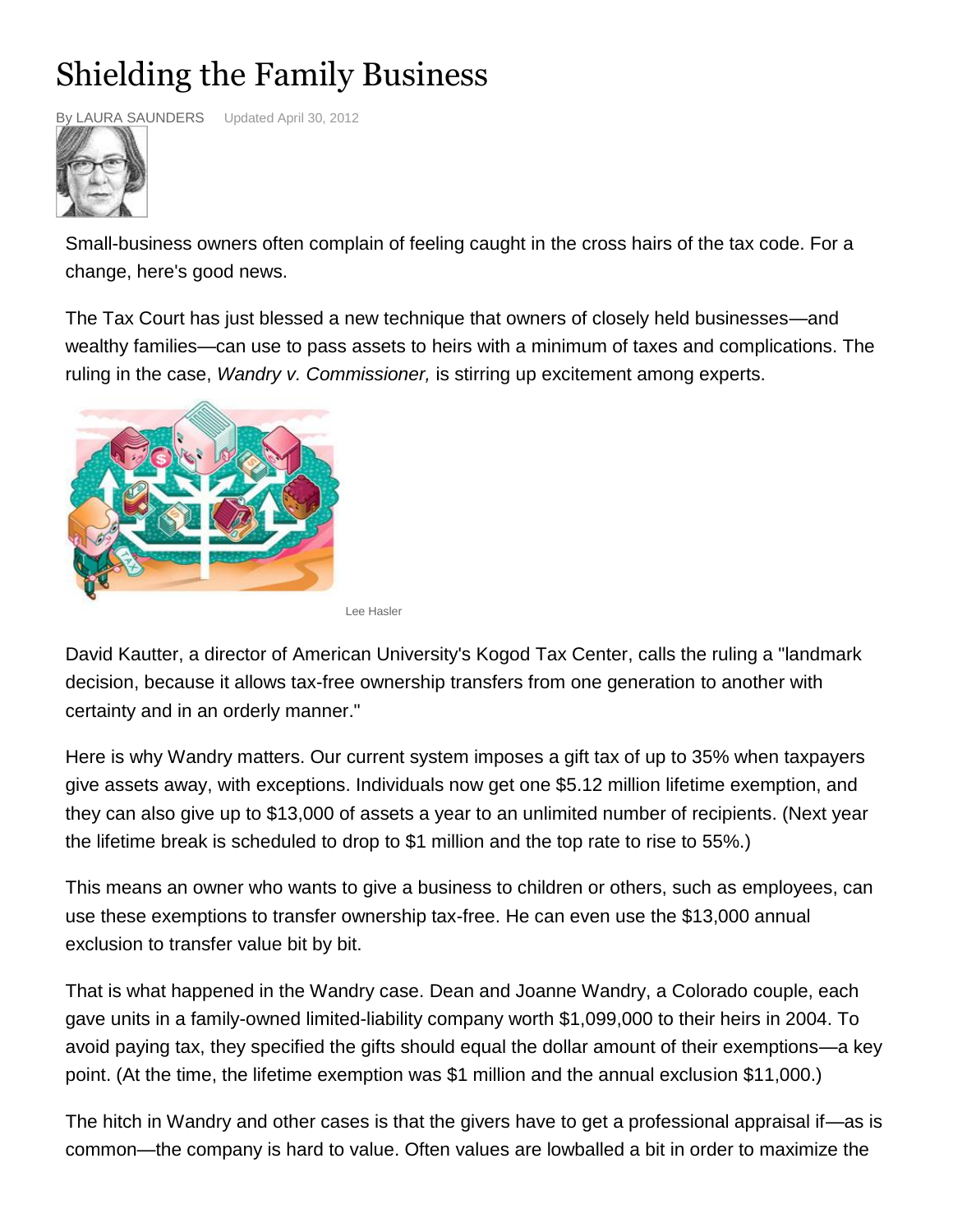## Shielding the Family Business



By LAURA SAUNDERS Updated April 30, 2012

Small-business owners often complain of feeling caught in the cross hairs of the tax code. For a change, here's good news.

The Tax Court has just blessed a new technique that owners of closely held businesses—and wealthy families—can use to pass assets to heirs with a minimum of taxes and complications. The ruling in the case, *Wandry v. Commissioner,* is stirring up excitement among experts.



Lee Hasler

David Kautter, a director of American University's Kogod Tax Center, calls the ruling a "landmark decision, because it allows tax-free ownership transfers from one generation to another with certainty and in an orderly manner."

Here is why Wandry matters. Our current system imposes a gift tax of up to 35% when taxpayers give assets away, with exceptions. Individuals now get one \$5.12 million lifetime exemption, and they can also give up to \$13,000 of assets a year to an unlimited number of recipients. (Next year the lifetime break is scheduled to drop to \$1 million and the top rate to rise to 55%.)

This means an owner who wants to give a business to children or others, such as employees, can use these exemptions to transfer ownership tax-free. He can even use the \$13,000 annual exclusion to transfer value bit by bit.

That is what happened in the Wandry case. Dean and Joanne Wandry, a Colorado couple, each gave units in a family-owned limited-liability company worth \$1,099,000 to their heirs in 2004. To avoid paying tax, they specified the gifts should equal the dollar amount of their exemptions—a key point. (At the time, the lifetime exemption was \$1 million and the annual exclusion \$11,000.)

The hitch in Wandry and other cases is that the givers have to get a professional appraisal if—as is common—the company is hard to value. Often values are lowballed a bit in order to maximize the